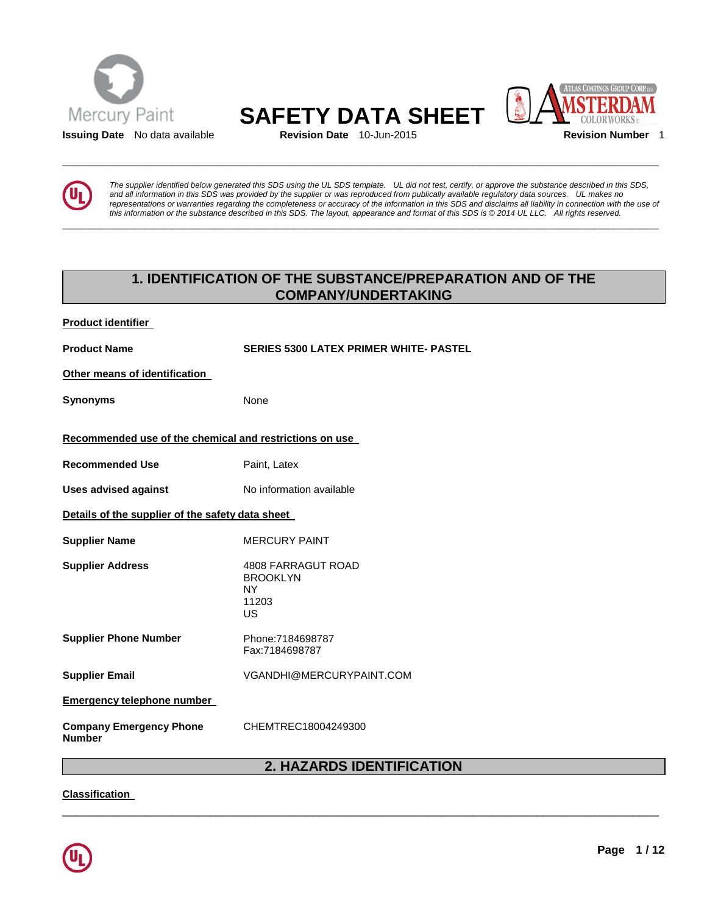



**\_\_\_\_\_\_\_\_\_\_\_\_\_\_\_\_\_\_\_\_\_\_\_\_\_\_\_\_\_\_\_\_\_\_\_\_\_\_\_\_\_\_\_\_\_\_\_\_\_\_\_\_\_\_\_\_\_\_\_\_\_\_\_\_\_\_\_\_\_\_\_\_\_\_\_\_\_\_\_\_\_\_\_\_\_\_\_\_\_\_\_\_\_** 

**\_\_\_\_\_\_\_\_\_\_\_\_\_\_\_\_\_\_\_\_\_\_\_\_\_\_\_\_\_\_\_\_\_\_\_\_\_\_\_\_\_\_\_\_\_\_\_\_\_\_\_\_\_\_\_\_\_\_\_\_\_\_\_\_\_\_\_\_\_\_\_\_\_\_\_\_\_\_\_\_\_\_\_\_\_\_\_\_\_\_\_\_\_** 



*The supplier identified below generated this SDS using the UL SDS template. UL did not test, certify, or approve the substance described in this SDS, and all information in this SDS was provided by the supplier or was reproduced from publically available regulatory data sources. UL makes no representations or warranties regarding the completeness or accuracy of the information in this SDS and disclaims all liability in connection with the use of this information or the substance described in this SDS. The layout, appearance and format of this SDS is © 2014 UL LLC. All rights reserved.* 

# **1. IDENTIFICATION OF THE SUBSTANCE/PREPARATION AND OF THE COMPANY/UNDERTAKING**

| <b>Product identifier</b>                               |                                                                    |
|---------------------------------------------------------|--------------------------------------------------------------------|
| <b>Product Name</b>                                     | <b>SERIES 5300 LATEX PRIMER WHITE- PASTEL</b>                      |
| Other means of identification                           |                                                                    |
| Synonyms                                                | None                                                               |
| Recommended use of the chemical and restrictions on use |                                                                    |
| <b>Recommended Use</b>                                  | Paint, Latex                                                       |
| <b>Uses advised against</b>                             | No information available                                           |
| Details of the supplier of the safety data sheet        |                                                                    |
| <b>Supplier Name</b>                                    | <b>MERCURY PAINT</b>                                               |
| <b>Supplier Address</b>                                 | <b>4808 FARRAGUT ROAD</b><br><b>BROOKLYN</b><br>NY.<br>11203<br>US |
| <b>Supplier Phone Number</b>                            | Phone:7184698787<br>Fax:7184698787                                 |
| <b>Supplier Email</b>                                   | VGANDHI@MERCURYPAINT.COM                                           |
| <b>Emergency telephone number</b>                       |                                                                    |
| <b>Company Emergency Phone</b><br><b>Number</b>         | CHEMTREC18004249300                                                |
|                                                         |                                                                    |

# **2. HAZARDS IDENTIFICATION**

\_\_\_\_\_\_\_\_\_\_\_\_\_\_\_\_\_\_\_\_\_\_\_\_\_\_\_\_\_\_\_\_\_\_\_\_\_\_\_\_\_\_\_\_\_\_\_\_\_\_\_\_\_\_\_\_\_\_\_\_\_\_\_\_\_\_\_\_\_\_\_\_\_\_\_\_\_\_\_\_\_\_\_\_\_\_\_\_\_\_\_\_\_

**Classification**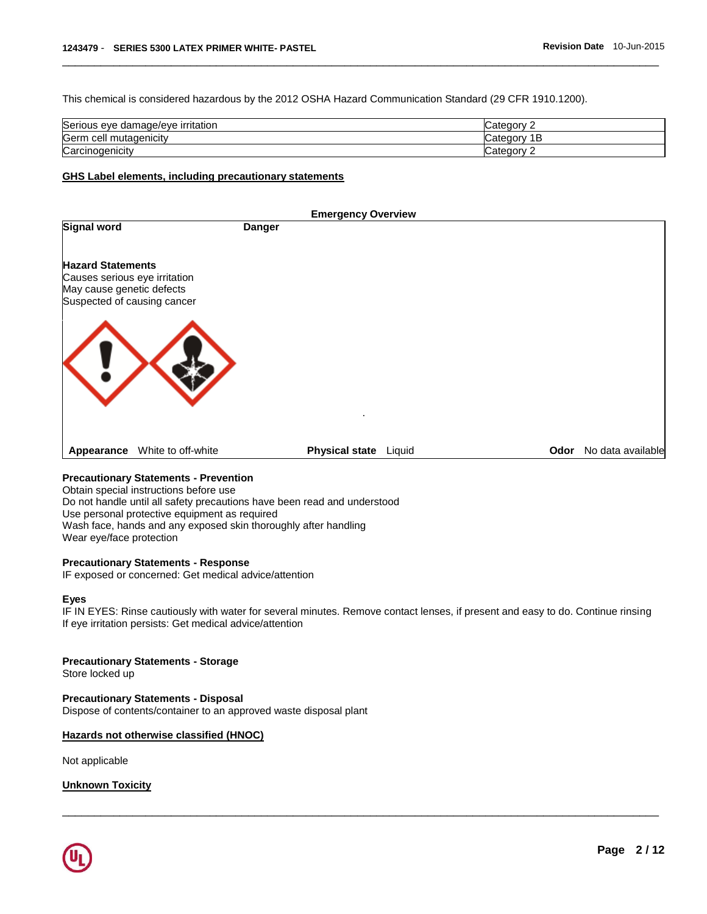This chemical is considered hazardous by the 2012 OSHA Hazard Communication Standard (29 CFR 1910.1200).

| Serious<br>e damage/eve irritation<br>. eve | ′ ategory۔   |
|---------------------------------------------|--------------|
| Germ<br>l mutagenicitv<br>cell              | ∵ategor<br>- |
| Carcinogenicity                             | ′ ategoryس   |

\_\_\_\_\_\_\_\_\_\_\_\_\_\_\_\_\_\_\_\_\_\_\_\_\_\_\_\_\_\_\_\_\_\_\_\_\_\_\_\_\_\_\_\_\_\_\_\_\_\_\_\_\_\_\_\_\_\_\_\_\_\_\_\_\_\_\_\_\_\_\_\_\_\_\_\_\_\_\_\_\_\_\_\_\_\_\_\_\_\_\_\_\_

#### **GHS Label elements, including precautionary statements**

|                                                            |                    |               | <b>Emergency Overview</b> |        |  |                        |
|------------------------------------------------------------|--------------------|---------------|---------------------------|--------|--|------------------------|
| <b>Signal word</b>                                         |                    | <b>Danger</b> |                           |        |  |                        |
| <b>Hazard Statements</b>                                   |                    |               |                           |        |  |                        |
| Causes serious eye irritation<br>May cause genetic defects |                    |               |                           |        |  |                        |
| Suspected of causing cancer                                |                    |               |                           |        |  |                        |
|                                                            |                    |               |                           |        |  |                        |
|                                                            |                    |               |                           |        |  |                        |
|                                                            |                    |               |                           |        |  |                        |
|                                                            |                    |               |                           |        |  |                        |
|                                                            |                    |               |                           |        |  |                        |
| Appearance                                                 | White to off-white |               | <b>Physical state</b>     | Liquid |  | Odor No data available |

# **Precautionary Statements - Prevention**

Obtain special instructions before use

Do not handle until all safety precautions have been read and understood

Use personal protective equipment as required

Wash face, hands and any exposed skin thoroughly after handling

Wear eye/face protection

#### **Precautionary Statements - Response**

IF exposed or concerned: Get medical advice/attention

### **Eyes**

IF IN EYES: Rinse cautiously with water for several minutes. Remove contact lenses, if present and easy to do. Continue rinsing If eye irritation persists: Get medical advice/attention

\_\_\_\_\_\_\_\_\_\_\_\_\_\_\_\_\_\_\_\_\_\_\_\_\_\_\_\_\_\_\_\_\_\_\_\_\_\_\_\_\_\_\_\_\_\_\_\_\_\_\_\_\_\_\_\_\_\_\_\_\_\_\_\_\_\_\_\_\_\_\_\_\_\_\_\_\_\_\_\_\_\_\_\_\_\_\_\_\_\_\_\_\_

### **Precautionary Statements - Storage**

Store locked up

**Precautionary Statements - Disposal** Dispose of contents/container to an approved waste disposal plant

# **Hazards not otherwise classified (HNOC)**

Not applicable

### **Unknown Toxicity**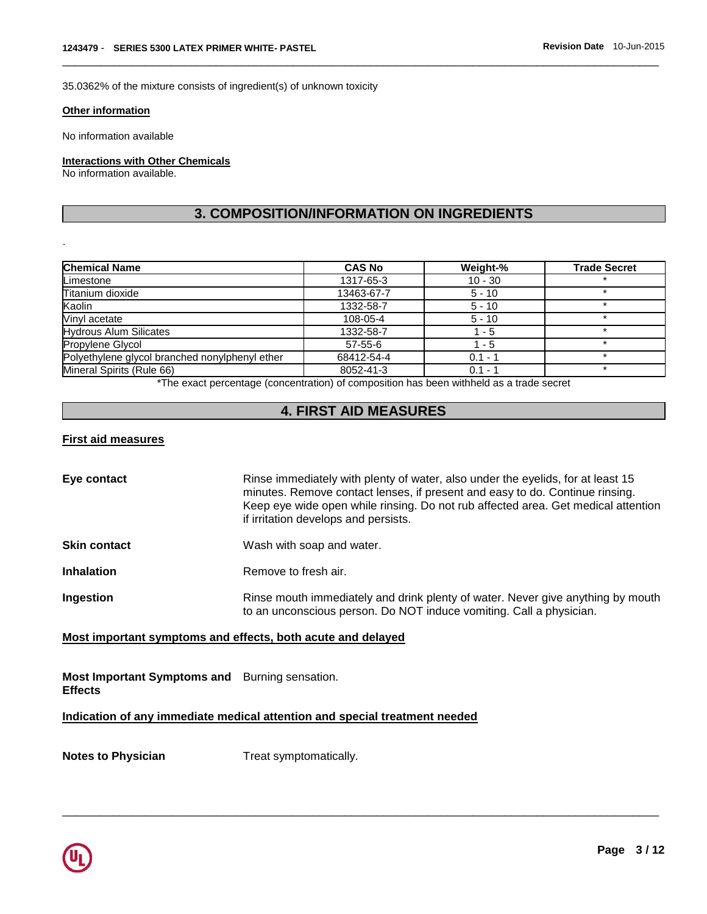35.0362% of the mixture consists of ingredient(s) of unknown toxicity

### **Other information**

.

No information available

# **Interactions with Other Chemicals**

No information available.

# **3. COMPOSITION/INFORMATION ON INGREDIENTS**

\_\_\_\_\_\_\_\_\_\_\_\_\_\_\_\_\_\_\_\_\_\_\_\_\_\_\_\_\_\_\_\_\_\_\_\_\_\_\_\_\_\_\_\_\_\_\_\_\_\_\_\_\_\_\_\_\_\_\_\_\_\_\_\_\_\_\_\_\_\_\_\_\_\_\_\_\_\_\_\_\_\_\_\_\_\_\_\_\_\_\_\_\_

| <b>Chemical Name</b>                           | <b>CAS No</b> | Weight-%  | <b>Trade Secret</b> |
|------------------------------------------------|---------------|-----------|---------------------|
| Limestone                                      | 1317-65-3     | $10 - 30$ |                     |
| Titanium dioxide                               | 13463-67-7    | $5 - 10$  | ÷                   |
| Kaolin                                         | 1332-58-7     | $5 - 10$  |                     |
| Vinyl acetate                                  | 108-05-4      | $5 - 10$  |                     |
| <b>Hydrous Alum Silicates</b>                  | 1332-58-7     | $1 - 5$   | ÷                   |
| Propylene Glycol                               | $57 - 55 - 6$ | 1 - 5     |                     |
| Polyethylene glycol branched nonylphenyl ether | 68412-54-4    | $0.1 - 1$ |                     |
| Mineral Spirits (Rule 66)                      | 8052-41-3     | $0.1 - 1$ | ÷                   |

\*The exact percentage (concentration) of composition has been withheld as a trade secret

# **4. FIRST AID MEASURES**

## **First aid measures**

| Eye contact         | Rinse immediately with plenty of water, also under the eyelids, for at least 15<br>minutes. Remove contact lenses, if present and easy to do. Continue rinsing.<br>Keep eye wide open while rinsing. Do not rub affected area. Get medical attention<br>if irritation develops and persists. |
|---------------------|----------------------------------------------------------------------------------------------------------------------------------------------------------------------------------------------------------------------------------------------------------------------------------------------|
| <b>Skin contact</b> | Wash with soap and water.                                                                                                                                                                                                                                                                    |
| <b>Inhalation</b>   | Remove to fresh air.                                                                                                                                                                                                                                                                         |
| Ingestion           | Rinse mouth immediately and drink plenty of water. Never give anything by mouth<br>to an unconscious person. Do NOT induce vomiting. Call a physician.                                                                                                                                       |

\_\_\_\_\_\_\_\_\_\_\_\_\_\_\_\_\_\_\_\_\_\_\_\_\_\_\_\_\_\_\_\_\_\_\_\_\_\_\_\_\_\_\_\_\_\_\_\_\_\_\_\_\_\_\_\_\_\_\_\_\_\_\_\_\_\_\_\_\_\_\_\_\_\_\_\_\_\_\_\_\_\_\_\_\_\_\_\_\_\_\_\_\_

# **Most important symptoms and effects, both acute and delayed**

**Most Important Symptoms and**  Burning sensation. **Effects** 

**Indication of any immediate medical attention and special treatment needed**

**Notes to Physician**  Treat symptomatically.

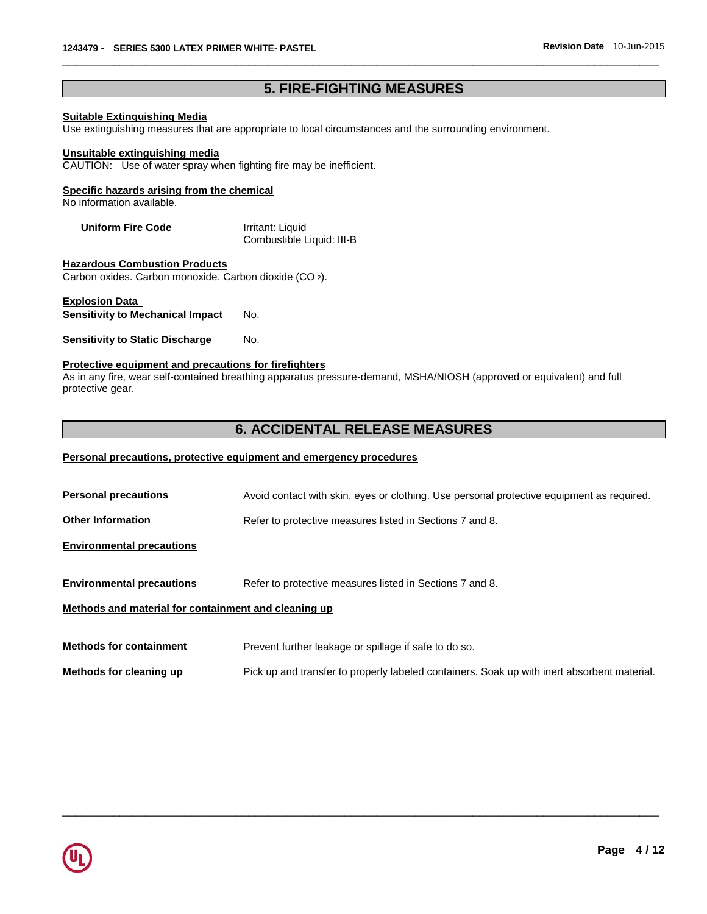# **5. FIRE-FIGHTING MEASURES**

\_\_\_\_\_\_\_\_\_\_\_\_\_\_\_\_\_\_\_\_\_\_\_\_\_\_\_\_\_\_\_\_\_\_\_\_\_\_\_\_\_\_\_\_\_\_\_\_\_\_\_\_\_\_\_\_\_\_\_\_\_\_\_\_\_\_\_\_\_\_\_\_\_\_\_\_\_\_\_\_\_\_\_\_\_\_\_\_\_\_\_\_\_

# **Suitable Extinguishing Media**

Use extinguishing measures that are appropriate to local circumstances and the surrounding environment.

### **Unsuitable extinguishing media**

CAUTION: Use of water spray when fighting fire may be inefficient.

# **Specific hazards arising from the chemical**

No information available.

**Uniform Fire Code State State Initiant: Liquid** Combustible Liquid: III-B

**Hazardous Combustion Products** Carbon oxides. Carbon monoxide. Carbon dioxide (CO <sup>2</sup>).

# **Explosion Data Sensitivity to Mechanical Impact No.**

**Sensitivity to Static Discharge Mo.** 

#### **Protective equipment and precautions for firefighters**

As in any fire, wear self-contained breathing apparatus pressure-demand, MSHA/NIOSH (approved or equivalent) and full protective gear.

# **6. ACCIDENTAL RELEASE MEASURES**

### **Personal precautions, protective equipment and emergency procedures**

| <b>Personal precautions</b>                          | Avoid contact with skin, eyes or clothing. Use personal protective equipment as required.   |
|------------------------------------------------------|---------------------------------------------------------------------------------------------|
| <b>Other Information</b>                             | Refer to protective measures listed in Sections 7 and 8.                                    |
| <b>Environmental precautions</b>                     |                                                                                             |
| <b>Environmental precautions</b>                     | Refer to protective measures listed in Sections 7 and 8.                                    |
| Methods and material for containment and cleaning up |                                                                                             |
| <b>Methods for containment</b>                       | Prevent further leakage or spillage if safe to do so.                                       |
| Methods for cleaning up                              | Pick up and transfer to properly labeled containers. Soak up with inert absorbent material. |

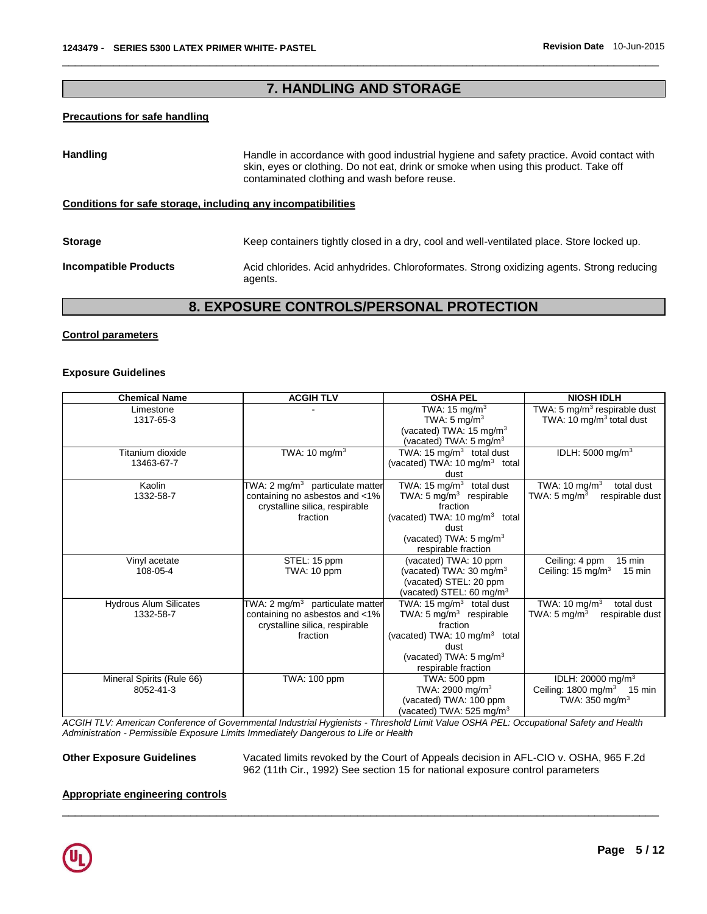# **7. HANDLING AND STORAGE**

\_\_\_\_\_\_\_\_\_\_\_\_\_\_\_\_\_\_\_\_\_\_\_\_\_\_\_\_\_\_\_\_\_\_\_\_\_\_\_\_\_\_\_\_\_\_\_\_\_\_\_\_\_\_\_\_\_\_\_\_\_\_\_\_\_\_\_\_\_\_\_\_\_\_\_\_\_\_\_\_\_\_\_\_\_\_\_\_\_\_\_\_\_

### **Precautions for safe handling**

| <b>Handling</b>                                              | Handle in accordance with good industrial hygiene and safety practice. Avoid contact with<br>skin, eyes or clothing. Do not eat, drink or smoke when using this product. Take off<br>contaminated clothing and wash before reuse. |
|--------------------------------------------------------------|-----------------------------------------------------------------------------------------------------------------------------------------------------------------------------------------------------------------------------------|
| Conditions for safe storage, including any incompatibilities |                                                                                                                                                                                                                                   |
| <b>Storage</b>                                               | Keep containers tightly closed in a dry, cool and well-ventilated place. Store locked up.                                                                                                                                         |
| <b>Incompatible Products</b>                                 | Acid chlorides. Acid anhydrides. Chloroformates. Strong oxidizing agents. Strong reducing<br>agents.                                                                                                                              |

# **8. EXPOSURE CONTROLS/PERSONAL PROTECTION**

### **Control parameters**

### **Exposure Guidelines**

| <b>Chemical Name</b>          | <b>ACGIH TLV</b>                            | <b>OSHA PEL</b>                           | <b>NIOSH IDLH</b>                                |
|-------------------------------|---------------------------------------------|-------------------------------------------|--------------------------------------------------|
| Limestone                     |                                             | TWA: 15 mg/m $3$                          | TWA: 5 mg/m <sup>3</sup> respirable dust         |
| 1317-65-3                     |                                             | TWA: $5 \text{ mg/m}^3$                   | TWA: 10 mg/m <sup>3</sup> total dust             |
|                               |                                             | (vacated) TWA: $15 \text{ mg/m}^3$        |                                                  |
|                               |                                             | (vacated) TWA: 5 mg/m <sup>3</sup>        |                                                  |
| Titanium dioxide              | TWA: $10 \text{ mg/m}^3$                    | TWA: 15 mg/m <sup>3</sup> total dust      | IDLH: 5000 mg/m <sup>3</sup>                     |
| 13463-67-7                    |                                             | (vacated) TWA: $10 \text{ mg/m}^3$ total  |                                                  |
|                               |                                             | dust                                      |                                                  |
| Kaolin                        | TWA: 2 mg/m <sup>3</sup> particulate matter | TWA: $15 \text{ mg/m}^3$<br>total dust    | TWA: $10 \text{ mg/m}^3$<br>total dust           |
| 1332-58-7                     | containing no asbestos and <1%              | TWA: $5 \text{ mg/m}^3$ respirable        | TWA: $5 \text{ mg/m}^3$<br>respirable dust       |
|                               | crystalline silica, respirable              | fraction                                  |                                                  |
|                               | fraction                                    | (vacated) TWA: $10 \text{ mg/m}^3$ total  |                                                  |
|                               |                                             | dust                                      |                                                  |
|                               |                                             | (vacated) TWA: 5 mg/m <sup>3</sup>        |                                                  |
|                               |                                             | respirable fraction                       |                                                  |
| Vinyl acetate                 | STEL: 15 ppm                                | (vacated) TWA: 10 ppm                     | 15 min<br>Ceiling: 4 ppm                         |
| 108-05-4                      | TWA: 10 ppm                                 | (vacated) TWA: $30 \text{ mg/m}^3$        | Ceiling: $15 \text{ mg/m}^3$<br>$15 \text{ min}$ |
|                               |                                             | (vacated) STEL: 20 ppm                    |                                                  |
|                               |                                             | (vacated) STEL: 60 mg/m <sup>3</sup>      |                                                  |
| <b>Hydrous Alum Silicates</b> | TWA: 2 mg/m <sup>3</sup> particulate matter | TWA: $15 \text{ mg/m}^3$ total dust       | TWA: $10 \text{ mg/m}^3$<br>total dust           |
| 1332-58-7                     | containing no asbestos and <1%              | TWA: 5 mg/m <sup>3</sup> respirable       | TWA: $5 \text{ mg/m}^3$<br>respirable dust       |
|                               | crystalline silica, respirable              | fraction                                  |                                                  |
|                               | fraction                                    | (vacated) TWA: 10 mg/m <sup>3</sup> total |                                                  |
|                               |                                             | dust                                      |                                                  |
|                               |                                             | (vacated) TWA: $5 \text{ mg/m}^3$         |                                                  |
|                               |                                             | respirable fraction                       |                                                  |
| Mineral Spirits (Rule 66)     | TWA: 100 ppm                                | TWA: 500 ppm                              | IDLH: 20000 mg/m <sup>3</sup>                    |
| 8052-41-3                     |                                             | TWA: 2900 mg/m <sup>3</sup>               | Ceiling: $1800$ mg/m <sup>3</sup><br>15 min      |
|                               |                                             | (vacated) TWA: 100 ppm                    | TWA: $350 \text{ mg/m}^3$                        |
|                               |                                             | (vacated) TWA: 525 mg/m $3$               |                                                  |

*ACGIH TLV: American Conference of Governmental Industrial Hygienists - Threshold Limit Value OSHA PEL: Occupational Safety and Health Administration - Permissible Exposure Limits Immediately Dangerous to Life or Health* 

\_\_\_\_\_\_\_\_\_\_\_\_\_\_\_\_\_\_\_\_\_\_\_\_\_\_\_\_\_\_\_\_\_\_\_\_\_\_\_\_\_\_\_\_\_\_\_\_\_\_\_\_\_\_\_\_\_\_\_\_\_\_\_\_\_\_\_\_\_\_\_\_\_\_\_\_\_\_\_\_\_\_\_\_\_\_\_\_\_\_\_\_\_

**Other Exposure Guidelines** Vacated limits revoked by the Court of Appeals decision in AFL-CIO v. OSHA, 965 F.2d 962 (11th Cir., 1992) See section 15 for national exposure control parameters

### **Appropriate engineering controls**

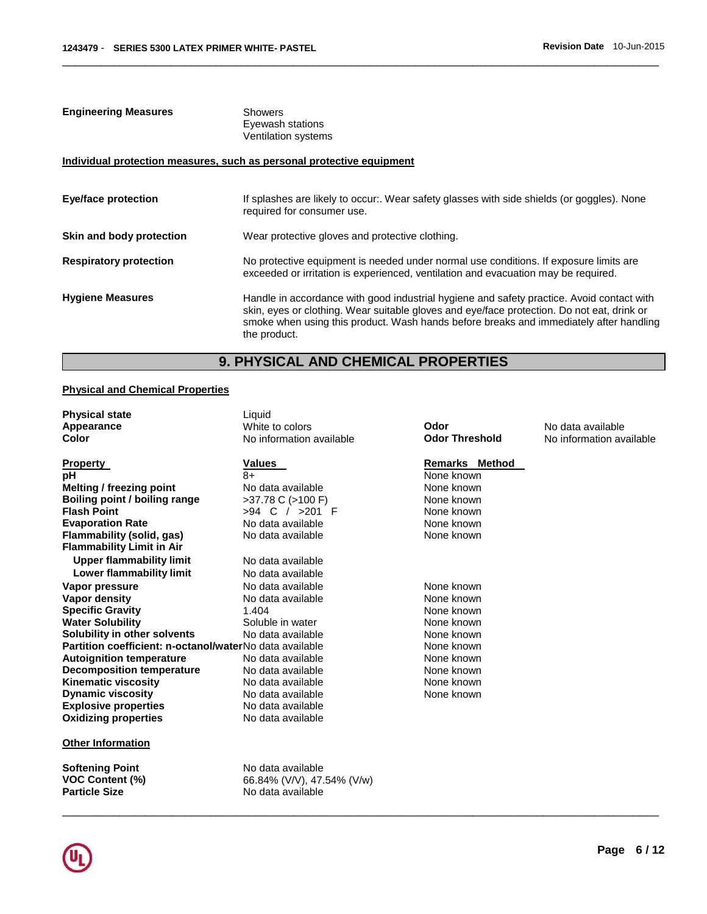| <b>Engineering Measures</b>                                           | Showers<br>Eyewash stations<br>Ventilation systems |
|-----------------------------------------------------------------------|----------------------------------------------------|
| Individual protection measures, such as personal protective equipment |                                                    |

| <b>Eye/face protection</b>    | If splashes are likely to occur:. Wear safety glasses with side shields (or goggles). None<br>required for consumer use.                                                                                                                                                                          |
|-------------------------------|---------------------------------------------------------------------------------------------------------------------------------------------------------------------------------------------------------------------------------------------------------------------------------------------------|
| Skin and body protection      | Wear protective gloves and protective clothing.                                                                                                                                                                                                                                                   |
| <b>Respiratory protection</b> | No protective equipment is needed under normal use conditions. If exposure limits are<br>exceeded or irritation is experienced, ventilation and evacuation may be required.                                                                                                                       |
| <b>Hygiene Measures</b>       | Handle in accordance with good industrial hygiene and safety practice. Avoid contact with<br>skin, eyes or clothing. Wear suitable gloves and eye/face protection. Do not eat, drink or<br>smoke when using this product. Wash hands before breaks and immediately after handling<br>the product. |

\_\_\_\_\_\_\_\_\_\_\_\_\_\_\_\_\_\_\_\_\_\_\_\_\_\_\_\_\_\_\_\_\_\_\_\_\_\_\_\_\_\_\_\_\_\_\_\_\_\_\_\_\_\_\_\_\_\_\_\_\_\_\_\_\_\_\_\_\_\_\_\_\_\_\_\_\_\_\_\_\_\_\_\_\_\_\_\_\_\_\_\_\_

# **9. PHYSICAL AND CHEMICAL PROPERTIES**

### **Physical and Chemical Properties**

| <b>Physical state</b>                                   | Liquid                   |                       |                          |
|---------------------------------------------------------|--------------------------|-----------------------|--------------------------|
| Appearance                                              | White to colors          | Odor                  | No data available        |
| Color                                                   | No information available | <b>Odor Threshold</b> | No information available |
| <b>Property</b>                                         | Values                   | Remarks Method        |                          |
| pH                                                      | $8+$                     | None known            |                          |
| Melting / freezing point                                | No data available        | None known            |                          |
| Boiling point / boiling range                           | >37.78 C (>100 F)        | None known            |                          |
| <b>Flash Point</b>                                      | $>94$ C / $>201$ F       | None known            |                          |
| <b>Evaporation Rate</b>                                 | No data available        | None known            |                          |
| Flammability (solid, gas)                               | No data available        | None known            |                          |
| <b>Flammability Limit in Air</b>                        |                          |                       |                          |
| <b>Upper flammability limit</b>                         | No data available        |                       |                          |
| Lower flammability limit                                | No data available        |                       |                          |
| Vapor pressure                                          | No data available        | None known            |                          |
| Vapor density                                           | No data available        | None known            |                          |
| <b>Specific Gravity</b>                                 | 1.404                    | None known            |                          |
| <b>Water Solubility</b>                                 | Soluble in water         | None known            |                          |
| Solubility in other solvents                            | No data available        | None known            |                          |
| Partition coefficient: n-octanol/waterNo data available |                          | None known            |                          |
| <b>Autoignition temperature</b>                         | No data available        | None known            |                          |
| <b>Decomposition temperature</b>                        | No data available        | None known            |                          |
| <b>Kinematic viscosity</b>                              | No data available        | None known            |                          |
| <b>Dynamic viscosity</b>                                | No data available        | None known            |                          |
| <b>Explosive properties</b>                             | No data available        |                       |                          |
| <b>Oxidizing properties</b>                             | No data available        |                       |                          |
| <b>Other Information</b>                                |                          |                       |                          |

\_\_\_\_\_\_\_\_\_\_\_\_\_\_\_\_\_\_\_\_\_\_\_\_\_\_\_\_\_\_\_\_\_\_\_\_\_\_\_\_\_\_\_\_\_\_\_\_\_\_\_\_\_\_\_\_\_\_\_\_\_\_\_\_\_\_\_\_\_\_\_\_\_\_\_\_\_\_\_\_\_\_\_\_\_\_\_\_\_\_\_\_\_

**Particle Size No data available** 

**Softening Point No data available**<br>**VOC Content (%)** 66.84% (V/V), 47.5 **VOC Content (%)** 66.84% (V/V), 47.54% (V/w)

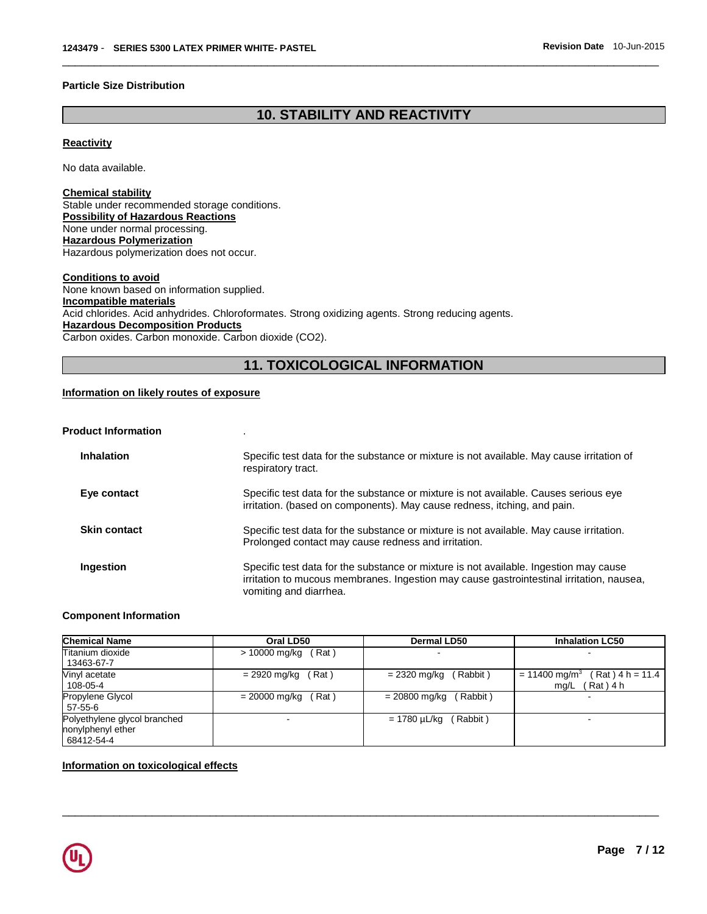#### **Particle Size Distribution**

# **10. STABILITY AND REACTIVITY**

\_\_\_\_\_\_\_\_\_\_\_\_\_\_\_\_\_\_\_\_\_\_\_\_\_\_\_\_\_\_\_\_\_\_\_\_\_\_\_\_\_\_\_\_\_\_\_\_\_\_\_\_\_\_\_\_\_\_\_\_\_\_\_\_\_\_\_\_\_\_\_\_\_\_\_\_\_\_\_\_\_\_\_\_\_\_\_\_\_\_\_\_\_

### **Reactivity**

No data available.

#### **Chemical stability**

Stable under recommended storage conditions. **Possibility of Hazardous Reactions** None under normal processing. **Hazardous Polymerization** Hazardous polymerization does not occur.

# **Conditions to avoid**

None known based on information supplied. **Incompatible materials** Acid chlorides. Acid anhydrides. Chloroformates. Strong oxidizing agents. Strong reducing agents. **Hazardous Decomposition Products** Carbon oxides. Carbon monoxide. Carbon dioxide (CO2).

# **11. TOXICOLOGICAL INFORMATION**

# **Information on likely routes of exposure**

### **Product Information** .

| <b>Inhalation</b>   | Specific test data for the substance or mixture is not available. May cause irritation of<br>respiratory tract.                                                                                             |
|---------------------|-------------------------------------------------------------------------------------------------------------------------------------------------------------------------------------------------------------|
| Eye contact         | Specific test data for the substance or mixture is not available. Causes serious eye<br>irritation. (based on components). May cause redness, itching, and pain.                                            |
| <b>Skin contact</b> | Specific test data for the substance or mixture is not available. May cause irritation.<br>Prolonged contact may cause redness and irritation.                                                              |
| Ingestion           | Specific test data for the substance or mixture is not available. Ingestion may cause<br>irritation to mucous membranes. Ingestion may cause gastrointestinal irritation, nausea,<br>vomiting and diarrhea. |

### **Component Information**

| <b>Chemical Name</b>                                            | Oral LD50                | <b>Dermal LD50</b>          | <b>Inhalation LC50</b>                                                 |
|-----------------------------------------------------------------|--------------------------|-----------------------------|------------------------------------------------------------------------|
| Titanium dioxide<br>13463-67-7                                  | (Rat)<br>> 10000 mg/kg   |                             |                                                                        |
| Vinyl acetate<br>108-05-4                                       | (Rat)<br>= 2920 mg/kg    | (Rabbit)<br>= 2320 mg/kg    | = 11400 mg/m <sup>3</sup><br>$(Rat)$ 4 h = 11.4<br>$(Rat)$ 4 h<br>mq/L |
| Propylene Glycol<br>57-55-6                                     | $= 20000$ mg/kg<br>(Rat) | (Rabbit)<br>$= 20800$ mg/kg |                                                                        |
| Polyethylene glycol branched<br>nonylphenyl ether<br>68412-54-4 |                          | (Rabbit)<br>= 1780 µL/kq    | -                                                                      |

\_\_\_\_\_\_\_\_\_\_\_\_\_\_\_\_\_\_\_\_\_\_\_\_\_\_\_\_\_\_\_\_\_\_\_\_\_\_\_\_\_\_\_\_\_\_\_\_\_\_\_\_\_\_\_\_\_\_\_\_\_\_\_\_\_\_\_\_\_\_\_\_\_\_\_\_\_\_\_\_\_\_\_\_\_\_\_\_\_\_\_\_\_

### **Information on toxicological effects**

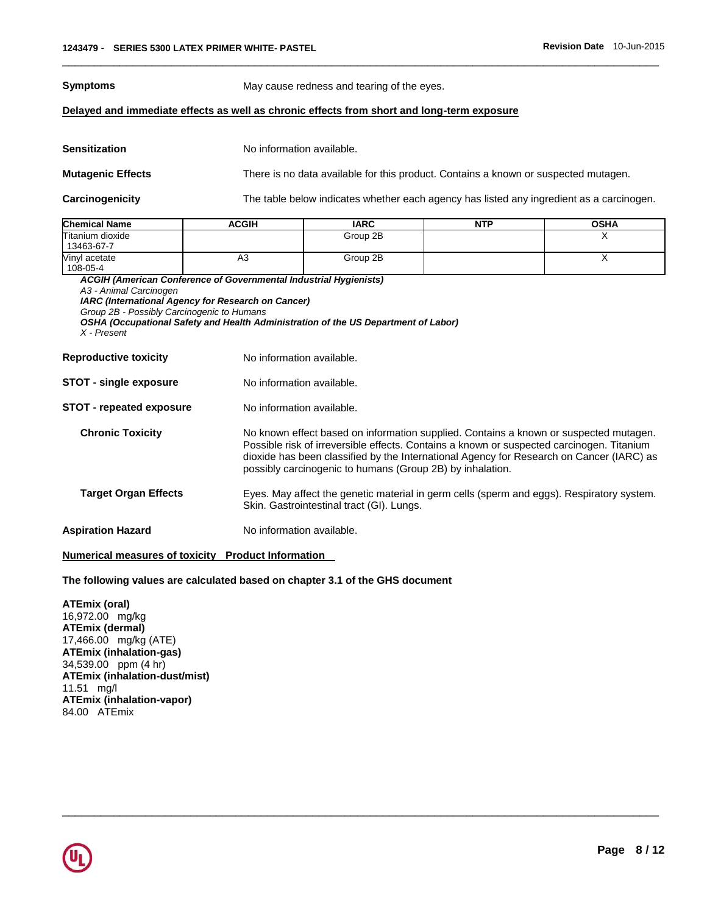**Symptoms May cause redness and tearing of the eyes.** 

# **Delayed and immediate effects as well as chronic effects from short and long-term exposure**

| Sensitization     | No information available.                                                                |
|-------------------|------------------------------------------------------------------------------------------|
| Mutaqenic Effects | There is no data available for this product. Contains a known or suspected mutagen.      |
| Carcinogenicity   | The table below indicates whether each agency has listed any ingredient as a carcinogen. |

\_\_\_\_\_\_\_\_\_\_\_\_\_\_\_\_\_\_\_\_\_\_\_\_\_\_\_\_\_\_\_\_\_\_\_\_\_\_\_\_\_\_\_\_\_\_\_\_\_\_\_\_\_\_\_\_\_\_\_\_\_\_\_\_\_\_\_\_\_\_\_\_\_\_\_\_\_\_\_\_\_\_\_\_\_\_\_\_\_\_\_\_\_

| <b>Chemical Name</b> | ACGIH | <b>IARC</b> | <b>NTP</b> | <b>OSHA</b> |
|----------------------|-------|-------------|------------|-------------|
| Titanium dioxide     |       | Group 2B    |            |             |
| 13463-67-7           |       |             |            |             |
| Vinyl acetate        | A3    | Group 2B    |            |             |
| 108-05-4             |       |             |            |             |

*ACGIH (American Conference of Governmental Industrial Hygienists) A3 - Animal Carcinogen IARC (International Agency for Research on Cancer) Group 2B - Possibly Carcinogenic to Humans OSHA (Occupational Safety and Health Administration of the US Department of Labor) X - Present* 

| <b>Reproductive toxicity</b>    | No information available.                                                                                                                                                                                                                                                                                                                   |
|---------------------------------|---------------------------------------------------------------------------------------------------------------------------------------------------------------------------------------------------------------------------------------------------------------------------------------------------------------------------------------------|
| <b>STOT - single exposure</b>   | No information available.                                                                                                                                                                                                                                                                                                                   |
| <b>STOT - repeated exposure</b> | No information available.                                                                                                                                                                                                                                                                                                                   |
| <b>Chronic Toxicity</b>         | No known effect based on information supplied. Contains a known or suspected mutagen.<br>Possible risk of irreversible effects. Contains a known or suspected carcinogen. Titanium<br>dioxide has been classified by the International Agency for Research on Cancer (IARC) as<br>possibly carcinogenic to humans (Group 2B) by inhalation. |
| <b>Target Organ Effects</b>     | Eyes. May affect the genetic material in germ cells (sperm and eggs). Respiratory system.<br>Skin. Gastrointestinal tract (GI). Lungs.                                                                                                                                                                                                      |
| <b>Aspiration Hazard</b>        | No information available.                                                                                                                                                                                                                                                                                                                   |

\_\_\_\_\_\_\_\_\_\_\_\_\_\_\_\_\_\_\_\_\_\_\_\_\_\_\_\_\_\_\_\_\_\_\_\_\_\_\_\_\_\_\_\_\_\_\_\_\_\_\_\_\_\_\_\_\_\_\_\_\_\_\_\_\_\_\_\_\_\_\_\_\_\_\_\_\_\_\_\_\_\_\_\_\_\_\_\_\_\_\_\_\_

# **Numerical measures of toxicity Product Information**

#### **The following values are calculated based on chapter 3.1 of the GHS document**

**ATEmix (oral)** 16,972.00 mg/kg **ATEmix (dermal)** 17,466.00 mg/kg (ATE) **ATEmix (inhalation-gas)** 34,539.00 ppm (4 hr) **ATEmix (inhalation-dust/mist)** 11.51 mg/l **ATEmix (inhalation-vapor)** 84.00 ATEmix

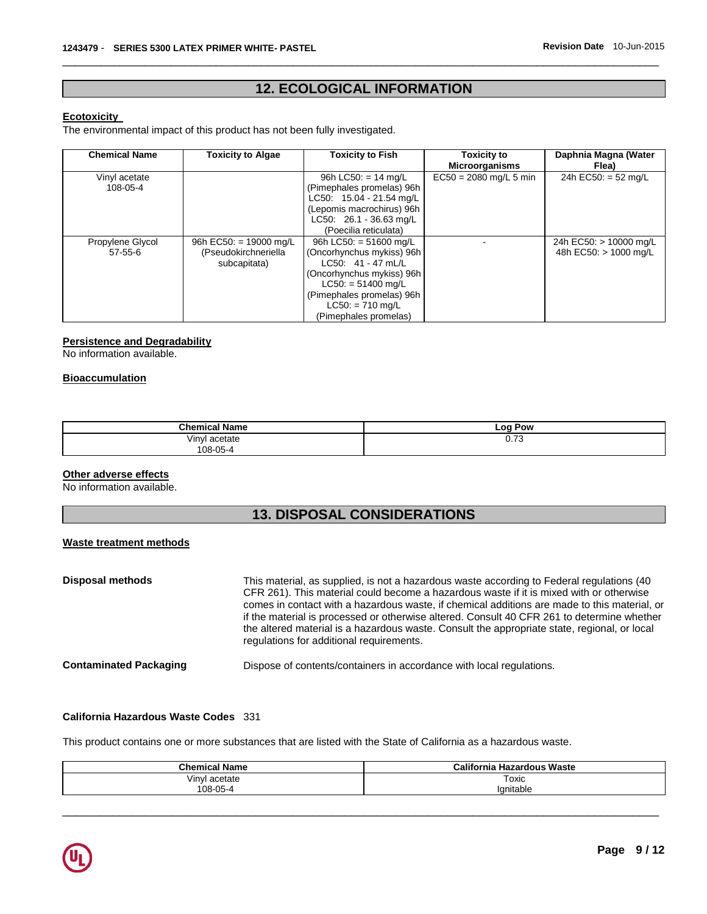# **12. ECOLOGICAL INFORMATION**

\_\_\_\_\_\_\_\_\_\_\_\_\_\_\_\_\_\_\_\_\_\_\_\_\_\_\_\_\_\_\_\_\_\_\_\_\_\_\_\_\_\_\_\_\_\_\_\_\_\_\_\_\_\_\_\_\_\_\_\_\_\_\_\_\_\_\_\_\_\_\_\_\_\_\_\_\_\_\_\_\_\_\_\_\_\_\_\_\_\_\_\_\_

### **Ecotoxicity**

The environmental impact of this product has not been fully investigated.

| <b>Chemical Name</b> | <b>Toxicity to Algae</b> | <b>Toxicity to Fish</b>   | <b>Toxicity to</b><br><b>Microorganisms</b> | Daphnia Magna (Water<br>Flea) |
|----------------------|--------------------------|---------------------------|---------------------------------------------|-------------------------------|
| Vinyl acetate        |                          | 96h LC50: $= 14$ mg/L     | $EC50 = 2080$ mg/L 5 min                    | 24h EC50: = 52 mg/L           |
| 108-05-4             |                          | (Pimephales promelas) 96h |                                             |                               |
|                      |                          | LC50: 15.04 - 21.54 mg/L  |                                             |                               |
|                      |                          | (Lepomis macrochirus) 96h |                                             |                               |
|                      |                          | LC50: 26.1 - 36.63 mg/L   |                                             |                               |
|                      |                          | (Poecilia reticulata)     |                                             |                               |
| Propylene Glycol     | 96h EC50: = 19000 mg/L   | 96h LC50: = $51600$ mg/L  |                                             | 24h EC50: > 10000 mg/L        |
| $57-55-6$            | (Pseudokirchneriella     | (Oncorhynchus mykiss) 96h |                                             | 48h EC50: > 1000 mg/L         |
|                      | subcapitata)             | $LC50: 41 - 47 mL/L$      |                                             |                               |
|                      |                          | (Oncorhynchus mykiss) 96h |                                             |                               |
|                      |                          | $LC50: = 51400$ mg/L      |                                             |                               |
|                      |                          | (Pimephales promelas) 96h |                                             |                               |
|                      |                          | $LC50: = 710$ mg/L        |                                             |                               |
|                      |                          | (Pimephales promelas)     |                                             |                               |

### **Persistence and Degradability**

No information available.

### **Bioaccumulation**

| Chemical N.<br>' Name | <b>LOC</b><br>Pow |
|-----------------------|-------------------|
| √invl<br>acetate      | -72<br>∪.≀ა       |
| 108-05-4<br>.         |                   |

### **Other adverse effects**

No information available.

# **13. DISPOSAL CONSIDERATIONS**

# **Waste treatment methods**

| Disposal methods              | This material, as supplied, is not a hazardous waste according to Federal regulations (40<br>CFR 261). This material could become a hazardous waste if it is mixed with or otherwise<br>comes in contact with a hazardous waste, if chemical additions are made to this material, or<br>if the material is processed or otherwise altered. Consult 40 CFR 261 to determine whether<br>the altered material is a hazardous waste. Consult the appropriate state, regional, or local<br>regulations for additional requirements. |
|-------------------------------|--------------------------------------------------------------------------------------------------------------------------------------------------------------------------------------------------------------------------------------------------------------------------------------------------------------------------------------------------------------------------------------------------------------------------------------------------------------------------------------------------------------------------------|
| <b>Contaminated Packaging</b> | Dispose of contents/containers in accordance with local regulations.                                                                                                                                                                                                                                                                                                                                                                                                                                                           |

### **California Hazardous Waste Codes** 331

This product contains one or more substances that are listed with the State of California as a hazardous waste.

| <b>Name</b>             | zardous Waste<br>California<br>Ha |
|-------------------------|-----------------------------------|
| ∕inv<br>etate<br>$\sim$ | Toxic                             |
| 108-05-4                | lanitable                         |

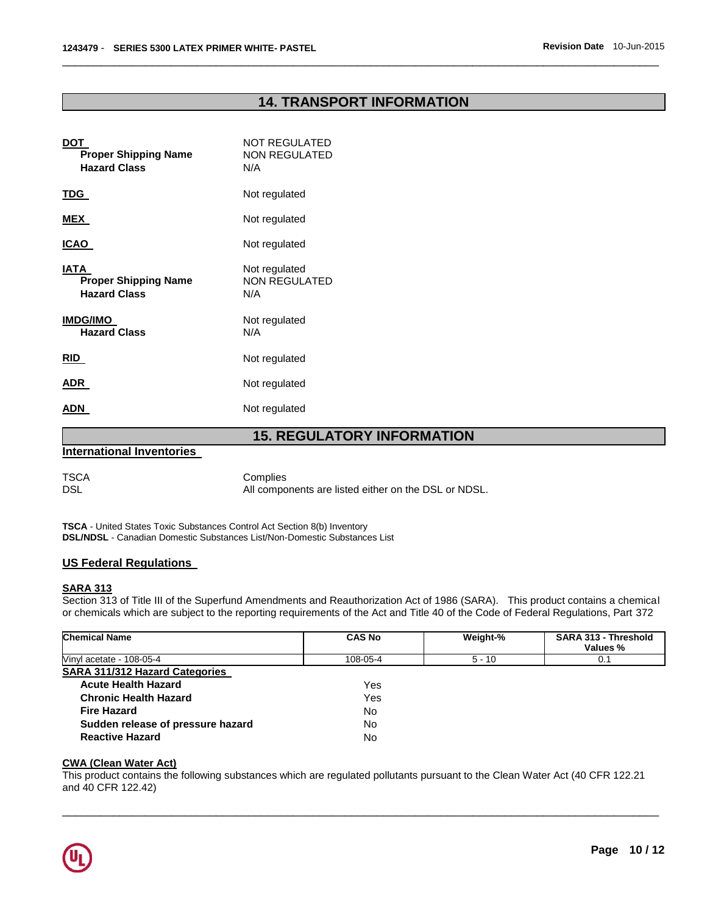# **14. TRANSPORT INFORMATION**

\_\_\_\_\_\_\_\_\_\_\_\_\_\_\_\_\_\_\_\_\_\_\_\_\_\_\_\_\_\_\_\_\_\_\_\_\_\_\_\_\_\_\_\_\_\_\_\_\_\_\_\_\_\_\_\_\_\_\_\_\_\_\_\_\_\_\_\_\_\_\_\_\_\_\_\_\_\_\_\_\_\_\_\_\_\_\_\_\_\_\_\_\_

| <b>International Inventories</b>                                  |                                                     |
|-------------------------------------------------------------------|-----------------------------------------------------|
|                                                                   | <b>15. REGULATORY INFORMATION</b>                   |
| ADN                                                               | Not regulated                                       |
| ADR                                                               | Not regulated                                       |
| <b>RID</b>                                                        | Not regulated                                       |
| <b>IMDG/IMO</b><br><b>Hazard Class</b>                            | Not regulated<br>N/A                                |
| <b>IATA</b><br><b>Proper Shipping Name</b><br><b>Hazard Class</b> | Not regulated<br>NON REGULATED<br>N/A               |
| <b>ICAO</b>                                                       | Not regulated                                       |
| MEX                                                               | Not regulated                                       |
| <u>TDG </u>                                                       | Not regulated                                       |
| <b>DOT</b><br><b>Proper Shipping Name</b><br><b>Hazard Class</b>  | <b>NOT REGULATED</b><br><b>NON REGULATED</b><br>N/A |

TSCA Complies DSL All components are listed either on the DSL or NDSL.

**TSCA** - United States Toxic Substances Control Act Section 8(b) Inventory **DSL/NDSL** - Canadian Domestic Substances List/Non-Domestic Substances List

### **US Federal Regulations**

# **SARA 313**

Section 313 of Title III of the Superfund Amendments and Reauthorization Act of 1986 (SARA). This product contains a chemical or chemicals which are subject to the reporting requirements of the Act and Title 40 of the Code of Federal Regulations, Part 372

| <b>Chemical Name</b>                  | <b>CAS No</b> | Weight-% | SARA 313 - Threshold<br>Values % |
|---------------------------------------|---------------|----------|----------------------------------|
| Vinyl acetate - 108-05-4              | 108-05-4      | $5 - 10$ | 0.1                              |
| <b>SARA 311/312 Hazard Categories</b> |               |          |                                  |
| <b>Acute Health Hazard</b>            | Yes           |          |                                  |
| <b>Chronic Health Hazard</b>          | Yes           |          |                                  |
| <b>Fire Hazard</b>                    | No.           |          |                                  |
| Sudden release of pressure hazard     | No.           |          |                                  |
| <b>Reactive Hazard</b>                | No.           |          |                                  |

# **CWA (Clean Water Act)**

This product contains the following substances which are regulated pollutants pursuant to the Clean Water Act (40 CFR 122.21 and 40 CFR 122.42)

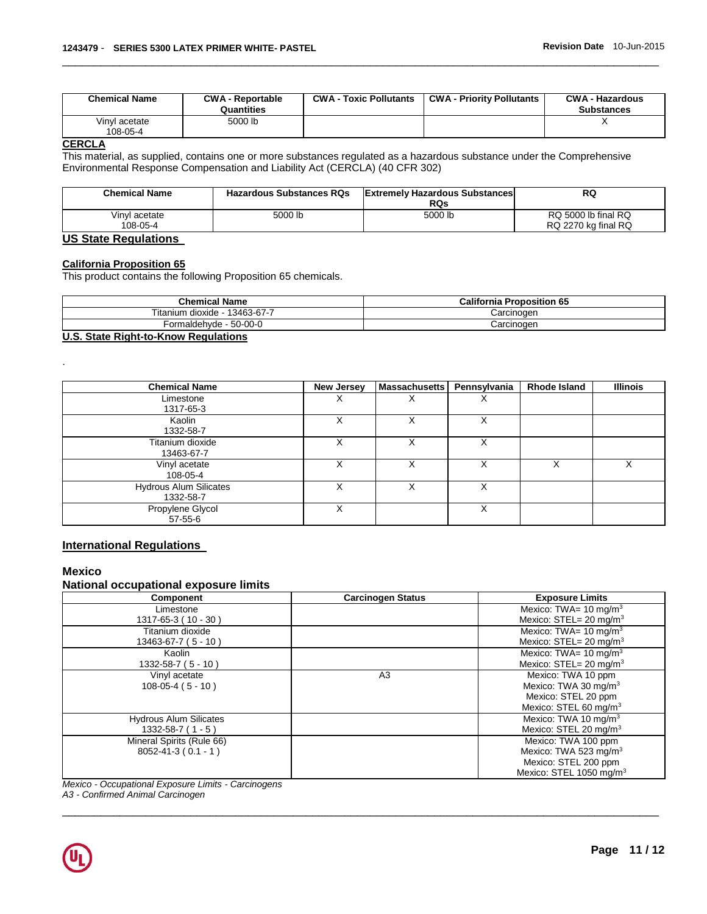| <b>Chemical Name</b>      | <b>CWA - Reportable</b><br>Quantities | <b>CWA - Toxic Pollutants</b> | <b>CWA - Priority Pollutants</b> | <b>CWA - Hazardous</b><br><b>Substances</b> |
|---------------------------|---------------------------------------|-------------------------------|----------------------------------|---------------------------------------------|
| Vinvl acetate<br>108-05-4 | 5000 lb                               |                               |                                  |                                             |

\_\_\_\_\_\_\_\_\_\_\_\_\_\_\_\_\_\_\_\_\_\_\_\_\_\_\_\_\_\_\_\_\_\_\_\_\_\_\_\_\_\_\_\_\_\_\_\_\_\_\_\_\_\_\_\_\_\_\_\_\_\_\_\_\_\_\_\_\_\_\_\_\_\_\_\_\_\_\_\_\_\_\_\_\_\_\_\_\_\_\_\_\_

# **CERCLA**

This material, as supplied, contains one or more substances regulated as a hazardous substance under the Comprehensive Environmental Response Compensation and Liability Act (CERCLA) (40 CFR 302)

| <b>Chemical Name</b>                                                                                                                                                                                                                                                                                                               | <b>Hazardous Substances RQs</b> | <b>Extremely Hazardous Substances</b><br><b>RQs</b> | RQ                                         |
|------------------------------------------------------------------------------------------------------------------------------------------------------------------------------------------------------------------------------------------------------------------------------------------------------------------------------------|---------------------------------|-----------------------------------------------------|--------------------------------------------|
| Vinyl acetate<br>108-05-4                                                                                                                                                                                                                                                                                                          | 5000 lb                         | 5000 lb                                             | RQ 5000 lb final RQ<br>RQ 2270 kg final RQ |
| $\mathbf{H}$ $\mathbf{A}$ $\mathbf{A}$ $\mathbf{A}$ $\mathbf{B}$ $\mathbf{A}$ $\mathbf{A}$ $\mathbf{A}$ $\mathbf{A}$ $\mathbf{A}$ $\mathbf{A}$ $\mathbf{A}$ $\mathbf{A}$ $\mathbf{A}$ $\mathbf{A}$ $\mathbf{A}$ $\mathbf{A}$ $\mathbf{A}$ $\mathbf{A}$ $\mathbf{A}$ $\mathbf{A}$ $\mathbf{A}$ $\mathbf{A}$ $\mathbf{A}$ $\mathbf{$ |                                 |                                                     |                                            |

# **US State Regulations**

### **California Proposition 65**

This product contains the following Proposition 65 chemicals.

| <b>Chemical Name</b>                       | <b>California Proposition 65</b> |
|--------------------------------------------|----------------------------------|
| Titanium dioxide - 1<br>13463-67-7         | Carcinoɑen                       |
| Formaldehvde - 50-00-0                     | Carcinogen                       |
| <b>ILO OLIL Blubs to Vacco Boundarious</b> |                                  |

#### **U.S. State Right-to-Know Regulations**

| <b>Chemical Name</b>          | <b>New Jersey</b> | <b>Massachusetts</b> | Pennsylvania | Rhode Island | <b>Illinois</b> |
|-------------------------------|-------------------|----------------------|--------------|--------------|-----------------|
| Limestone                     | ⋏                 |                      | ⋏            |              |                 |
| 1317-65-3                     |                   |                      |              |              |                 |
| Kaolin                        | х                 |                      | Х            |              |                 |
| 1332-58-7                     |                   |                      |              |              |                 |
| Titanium dioxide              |                   |                      |              |              |                 |
| 13463-67-7                    |                   |                      |              |              |                 |
| Vinyl acetate                 | х                 |                      | х            | х            | х               |
| 108-05-4                      |                   |                      |              |              |                 |
| <b>Hydrous Alum Silicates</b> |                   |                      | Χ            |              |                 |
| 1332-58-7                     |                   |                      |              |              |                 |
| Propylene Glycol              | Χ                 |                      | X            |              |                 |
| $57 - 55 - 6$                 |                   |                      |              |              |                 |

# **International Regulations**

# **Mexico**

.

# **National occupational exposure limits**

| <b>Component</b>                                  | <b>Carcinogen Status</b> | <b>Exposure Limits</b>                |
|---------------------------------------------------|--------------------------|---------------------------------------|
| Limestone                                         |                          | Mexico: TWA= $10 \text{ mg/m}^3$      |
| 1317-65-3 (10 - 30)                               |                          | Mexico: $STEL = 20$ mg/m <sup>3</sup> |
| Titanium dioxide                                  |                          | Mexico: TWA= $10 \text{ mg/m}^3$      |
| 13463-67-7 (5 - 10)                               |                          | Mexico: STEL= $20 \text{ mg/m}^3$     |
| Kaolin                                            |                          | Mexico: TWA= $10 \text{ mg/m}^3$      |
| $1332 - 58 - 7 (5 - 10)$                          |                          | Mexico: $STEL = 20$ mg/m <sup>3</sup> |
| Vinyl acetate                                     | A <sub>3</sub>           | Mexico: TWA 10 ppm                    |
| $108-05-4(5-10)$                                  |                          | Mexico: TWA 30 mg/m <sup>3</sup>      |
|                                                   |                          | Mexico: STEL 20 ppm                   |
|                                                   |                          | Mexico: STEL 60 mg/m <sup>3</sup>     |
| <b>Hydrous Alum Silicates</b>                     |                          | Mexico: TWA 10 mg/m <sup>3</sup>      |
| $1332 - 58 - 7(1 - 5)$                            |                          | Mexico: STEL 20 mg/m <sup>3</sup>     |
| Mineral Spirits (Rule 66)                         |                          | Mexico: TWA 100 ppm                   |
| $8052 - 41 - 3(0.1 - 1)$                          |                          | Mexico: TWA 523 mg/m <sup>3</sup>     |
|                                                   |                          | Mexico: STEL 200 ppm                  |
| $\cdots$ $\sim$ $\cdots$<br>$\sim$<br>$\cdot$ $-$ |                          | Mexico: STEL 1050 mg/m <sup>3</sup>   |

\_\_\_\_\_\_\_\_\_\_\_\_\_\_\_\_\_\_\_\_\_\_\_\_\_\_\_\_\_\_\_\_\_\_\_\_\_\_\_\_\_\_\_\_\_\_\_\_\_\_\_\_\_\_\_\_\_\_\_\_\_\_\_\_\_\_\_\_\_\_\_\_\_\_\_\_\_\_\_\_\_\_\_\_\_\_\_\_\_\_\_\_\_

*Mexico - Occupational Exposure Limits - Carcinogens A3 - Confirmed Animal Carcinogen*